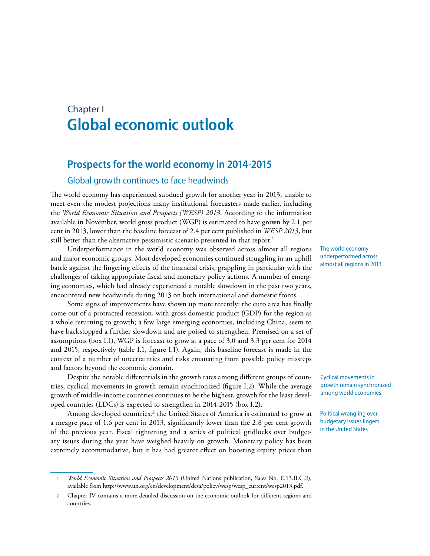# Chapter I **Global economic outlook**

# **Prospects for the world economy in 2014-2015**

## Global growth continues to face headwinds

The world economy has experienced subdued growth for another year in 2013, unable to meet even the modest projections many institutional forecasters made earlier, including the *World Economic Situation and Prospects (WESP) 2013*. According to the information available in November, world gross product (WGP) is estimated to have grown by 2.1 per cent in 2013, lower than the baseline forecast of 2.4 per cent published in *WESP 2013*, but still better than the alternative pessimistic scenario presented in that report.**<sup>1</sup>**

Underperformance in the world economy was observed across almost all regions and major economic groups. Most developed economies continued struggling in an uphill battle against the lingering effects of the financial crisis, grappling in particular with the challenges of taking appropriate fiscal and monetary policy actions. A number of emerging economies, which had already experienced a notable slowdown in the past two years, encountered new headwinds during 2013 on both international and domestic fronts.

Some signs of improvements have shown up more recently: the euro area has finally come out of a protracted recession, with gross domestic product (GDP) for the region as a whole returning to growth; a few large emerging economies, including China, seem to have backstopped a further slowdown and are poised to strengthen. Premised on a set of assumptions (box I.1), WGP is forecast to grow at a pace of 3.0 and 3.3 per cent for 2014 and 2015, respectively (table I.1, figure I.1). Again, this baseline forecast is made in the context of a number of uncertainties and risks emanating from possible policy missteps and factors beyond the economic domain.

Despite the notable differentials in the growth rates among different groups of countries, cyclical movements in growth remain synchronized (figure I.2). While the average growth of middle-income countries continues to be the highest, growth for the least developed countries (LDCs) is expected to strengthen in 2014-2015 (box I.2).

Among developed countries,**<sup>2</sup>** the United States of America is estimated to grow at a meagre pace of 1.6 per cent in 2013, significantly lower than the 2.8 per cent growth of the previous year. Fiscal tightening and a series of political gridlocks over budgetary issues during the year have weighed heavily on growth. Monetary policy has been extremely accommodative, but it has had greater effect on boosting equity prices than

**1** *World Economic Situation and Prospects 2013* (United Nations publication, Sales No. E.13.II.C.2), available from http://www.un.org/en/development/desa/policy/wesp/wesp\_current/wesp2013.pdf.

The world economy underperformed across almost all regions in 2013

Cyclical movements in growth remain synchronized among world economies

Political wrangling over budgetary issues lingers in the United States

**<sup>2</sup>** Chapter IV contains a more detailed discussion on the economic outlook for different regions and countries.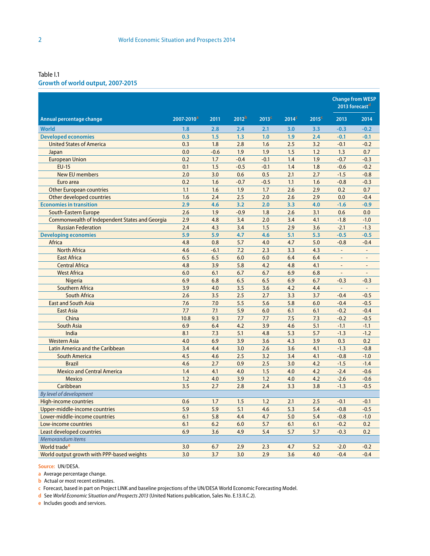## Table I.1 **Growth of world output, 2007-2015**

|                                                       |                        |        |                   |                   |                   |                   | <b>Change from WESP</b><br>2013 forecast <sup>d</sup> |                          |
|-------------------------------------------------------|------------------------|--------|-------------------|-------------------|-------------------|-------------------|-------------------------------------------------------|--------------------------|
| Annual percentage change                              | 2007-2010 <sup>a</sup> | 2011   | 2012 <sup>b</sup> | 2013 <sup>c</sup> | 2014 <sup>c</sup> | 2015 <sup>c</sup> | 2013                                                  | 2014                     |
| World                                                 | 1.8                    | 2.8    | 2.4               | 2.1               | 3.0               | 3.3               | $-0.3$                                                | $-0.2$                   |
| <b>Developed economies</b>                            | 0.3                    | 1.5    | 1.3               | 1.0               | 1.9               | 2.4               | $-0.1$                                                | $-0.1$                   |
| <b>United States of America</b>                       | 0.3                    | 1.8    | 2.8               | 1.6               | 2.5               | 3.2               | $-0.1$                                                | $-0.2$                   |
| Japan                                                 | 0.0                    | $-0.6$ | 1.9               | 1.9               | 1.5               | 1.2               | 1.3                                                   | 0.7                      |
| <b>European Union</b>                                 | 0.2                    | 1.7    | $-0.4$            | $-0.1$            | 1.4               | 1.9               | $-0.7$                                                | $-0.3$                   |
| <b>EU-15</b>                                          | 0.1                    | 1.5    | $-0.5$            | $-0.1$            | 1.4               | 1.8               | $-0.6$                                                | $-0.2$                   |
| <b>New EU members</b>                                 | 2.0                    | 3.0    | 0.6               | 0.5               | 2.1               | 2.7               | $-1.5$                                                | $-0.8$                   |
| Euro area                                             | 0.2                    | 1.6    | $-0.7$            | $-0.5$            | 1.1               | 1.6               | $-0.8$                                                | $-0.3$                   |
| <b>Other European countries</b>                       | 1.1                    | 1.6    | 1.9               | 1.7               | 2.6               | 2.9               | 0.2                                                   | 0.7                      |
| Other developed countries                             | 1.6                    | 2.4    | 2.5               | 2.0               | 2.6               | 2.9               | 0.0                                                   | $-0.4$                   |
| <b>Economies in transition</b>                        | 2.9                    | 4.6    | 3.2               | 2.0               | 3.3               | 4.0               | $-1.6$                                                | $-0.9$                   |
| <b>South-Eastern Europe</b>                           | 2.6                    | 1.9    | $-0.9$            | 1.8               | 2.6               | 3.1               | 0.6                                                   | 0.0                      |
| <b>Commonwealth of Independent States and Georgia</b> | 2.9                    | 4.8    | 3.4               | 2.0               | 3.4               | 4.1               | $-1.8$                                                | $-1.0$                   |
| <b>Russian Federation</b>                             | 2.4                    | 4.3    | 3.4               | 1.5               | 2.9               | 3.6               | $-2.1$                                                | $-1.3$                   |
| <b>Developing economies</b>                           | 5.9                    | 5.9    | 4.7               | 4.6               | 5.1               | 5.3               | $-0.5$                                                | $-0.5$                   |
| Africa                                                | 4.8                    | 0.8    | 5.7               | 4.0               | 4.7               | 5.0               | $-0.8$                                                | $-0.4$                   |
| <b>North Africa</b>                                   | 4.6                    | $-6.1$ | 7.2               | 2.3               | 3.3               | 4.3               | $\blacksquare$                                        |                          |
| <b>East Africa</b>                                    | 6.5                    | 6.5    | 6.0               | 6.0               | 6.4               | 6.4               | $\overline{\phantom{a}}$                              | $\overline{\phantom{a}}$ |
| <b>Central Africa</b>                                 | 4.8                    | 3.9    | 5.8               | 4.2               | 4.8               | 4.1               | $\qquad \qquad \blacksquare$                          |                          |
| <b>West Africa</b>                                    | 6.0                    | 6.1    | 6.7               | 6.7               | 6.9               | 6.8               | $\overline{\phantom{a}}$                              |                          |
| Nigeria                                               | 6.9                    | 6.8    | 6.5               | 6.5               | 6.9               | 6.7               | $-0.3$                                                | $-0.3$                   |
| <b>Southern Africa</b>                                | 3.9                    | 4.0    | 3.5               | 3.6               | 4.2               | 4.4               | $\mathbb{L}$                                          |                          |
| <b>South Africa</b>                                   | 2.6                    | 3.5    | 2.5               | 2.7               | 3.3               | 3.7               | $-0.4$                                                | $-0.5$                   |
| <b>East and South Asia</b>                            | 7.6                    | 7.0    | 5.5               | 5.6               | 5.8               | 6.0               | $-0.4$                                                | $-0.5$                   |
| <b>East Asia</b>                                      | 7.7                    | 7.1    | 5.9               | 6.0               | 6.1               | 6.1               | $-0.2$                                                | $-0.4$                   |
| China                                                 | 10.8                   | 9.3    | 7.7               | 7.7               | 7.5               | 7.3               | $-0.2$                                                | $-0.5$                   |
| <b>South Asia</b>                                     | 6.9                    | 6.4    | 4.2               | 3.9               | 4.6               | 5.1               | $-1.1$                                                | $-1.1$                   |
| India                                                 | 8.1                    | 7.3    | 5.1               | 4.8               | 5.3               | 5.7               | $-1.3$                                                | $-1.2$                   |
| <b>Western Asia</b>                                   | 4.0                    | 6.9    | 3.9               | 3.6               | 4.3               | 3.9               | 0.3                                                   | 0.2                      |
| Latin America and the Caribbean                       | 3.4                    | 4.4    | 3.0               | 2.6               | 3.6               | 4.1               | $-1.3$                                                | $-0.8$                   |
| <b>South America</b>                                  | 4.5                    | 4.6    | 2.5               | 3.2               | 3.4               | 4.1               | $-0.8$                                                | $-1.0$                   |
| <b>Brazil</b>                                         | 4.6                    | 2.7    | 0.9               | 2.5               | 3.0               | 4.2               | $-1.5$                                                | $-1.4$                   |
| <b>Mexico and Central America</b>                     | 1.4                    | 4.1    | 4.0               | 1.5               | 4.0               | 4.2               | $-2.4$                                                | $-0.6$                   |
| <b>Mexico</b>                                         | 1.2                    | 4.0    | 3.9               | 1.2               | 4.0               | 4.2               | $-2.6$                                                | $-0.6$                   |
| Caribbean                                             | 3.5                    | 2.7    | 2.8               | 2.4               | 3.3               | 3.8               | $-1.3$                                                | $-0.5$                   |
| By level of development                               |                        |        |                   |                   |                   |                   |                                                       |                          |
| High-income countries                                 | 0.6                    | 1.7    | 1.5               | 1.2               | 2.1               | 2.5               | $-0.1$                                                | $-0.1$                   |
| Upper-middle-income countries                         | 5.9                    | 5.9    | 5.1               | 4.6               | 5.3               | 5.4               | $-0.8$                                                | $-0.5$                   |
| Lower-middle-income countries                         | 6.1                    | 5.8    | 4.4               | 4.7               | 5.0               | 5.4               | $-0.8$                                                | $-1.0$                   |
| Low-income countries                                  | 6.1                    | 6.2    | 6.0               | 5.7               | 6.1               | 6.1               | $-0.2$                                                | 0.2                      |
| Least developed countries                             | 6.9                    | 3.6    | 4.9               | 5.4               | 5.7               | 5.7               | $-0.3$                                                | 0.2                      |
| Memorandum items                                      |                        |        |                   |                   |                   |                   |                                                       |                          |
| World trade <sup>e</sup>                              | 3.0                    | 6.7    | 2.9               | 2.3               | 4.7               | 5.2               | $-2.0$                                                | $-0.2$                   |
| World output growth with PPP-based weights            | $3.0\,$                | 3.7    | 3.0               | 2.9               | 3.6               | 4.0               | $-0.4$                                                | $-0.4$                   |

**Source:** UN/DESA.

**a** Average percentage change.

**b** Actual or most recent estimates.

**c** Forecast, based in part on Project LINK and baseline projections of the UN/DESA World Economic Forecasting Model.

**d** See *World Economic Situation and Prospects 2013* (United Nations publication, Sales No. E.13.II.C.2).

**e** Includes goods and services.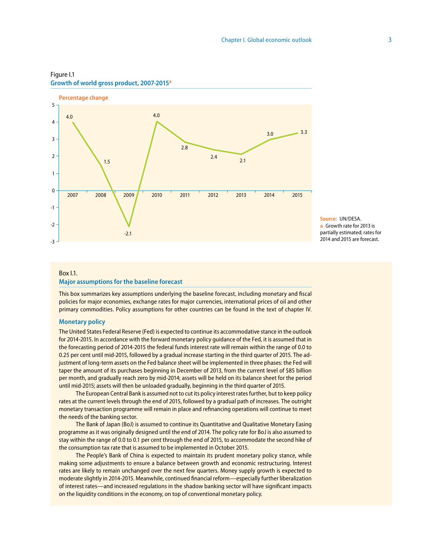

## Figure I.1 **Growth of world gross product, 2007-2015a**

**Source:** UN/DESA. **a** Growth rate for 2013 is partially estimated; rates for 2014 and 2015 are forecast.

## Box I.1. **Major assumptions for the baseline forecast**

This box summarizes key assumptions underlying the baseline forecast, including monetary and fiscal policies for major economies, exchange rates for major currencies, international prices of oil and other primary commodities. Policy assumptions for other countries can be found in the text of chapter IV.

#### **Monetary policy**

The United States Federal Reserve (Fed) is expected to continue its accommodative stance in the outlook for 2014-2015. In accordance with the forward monetary policy guidance of the Fed, it is assumed that in the forecasting period of 2014-2015 the federal funds interest rate will remain within the range of 0.0 to 0.25 per cent until mid-2015, followed by a gradual increase starting in the third quarter of 2015. The adjustment of long-term assets on the Fed balance sheet will be implemented in three phases: the Fed will taper the amount of its purchases beginning in December of 2013, from the current level of \$85 billion per month, and gradually reach zero by mid-2014; assets will be held on its balance sheet for the period until mid-2015; assets will then be unloaded gradually, beginning in the third quarter of 2015.

The European Central Bank is assumed not to cut its policy interest rates further, but to keep policy rates at the current levels through the end of 2015, followed by a gradual path of increases. The outright monetary transaction programme will remain in place and refinancing operations will continue to meet the needs of the banking sector.

The Bank of Japan (BoJ) is assumed to continue its Quantitative and Qualitative Monetary Easing programme as it was originally designed until the end of 2014. The policy rate for BoJ is also assumed to stay within the range of 0.0 to 0.1 per cent through the end of 2015, to accommodate the second hike of the consumption tax rate that is assumed to be implemented in October 2015.

The People's Bank of China is expected to maintain its prudent monetary policy stance, while making some adjustments to ensure a balance between growth and economic restructuring. Interest rates are likely to remain unchanged over the next few quarters. Money supply growth is expected to moderate slightly in 2014-2015. Meanwhile, continued financial reform—especially further liberalization of interest rates—and increased regulations in the shadow banking sector will have significant impacts on the liquidity conditions in the economy, on top of conventional monetary policy.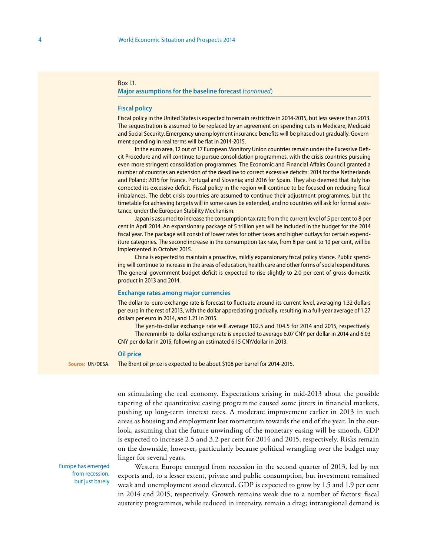## Box I.1.

#### **Major assumptions for the baseline forecast** (*continued*)

#### **Fiscal policy**

Fiscal policy in the United States is expected to remain restrictive in 2014-2015, but less severe than 2013. The sequestration is assumed to be replaced by an agreement on spending cuts in Medicare, Medicaid and Social Security. Emergency unemployment insurance benefits will be phased out gradually. Government spending in real terms will be flat in 2014-2015.

In the euro area, 12 out of 17 European Monitory Union countries remain under the Excessive Deficit Procedure and will continue to pursue consolidation programmes, with the crisis countries pursuing even more stringent consolidation programmes. The Economic and Financial Affairs Council granted a number of countries an extension of the deadline to correct excessive deficits: 2014 for the Netherlands and Poland; 2015 for France, Portugal and Slovenia; and 2016 for Spain. They also deemed that Italy has corrected its excessive deficit. Fiscal policy in the region will continue to be focused on reducing fiscal imbalances. The debt crisis countries are assumed to continue their adjustment programmes, but the timetable for achieving targets will in some cases be extended, and no countries will ask for formal assistance, under the European Stability Mechanism.

Japan is assumed to increase the consumption tax rate from the current level of 5 per cent to 8 per cent in April 2014. An expansionary package of 5 trillion yen will be included in the budget for the 2014 fiscal year. The package will consist of lower rates for other taxes and higher outlays for certain expenditure categories. The second increase in the consumption tax rate, from 8 per cent to 10 per cent, will be implemented in October 2015.

China is expected to maintain a proactive, mildly expansionary fiscal policy stance. Public spending will continue to increase in the areas of education, health care and other forms of social expenditures. The general government budget deficit is expected to rise slightly to 2.0 per cent of gross domestic product in 2013 and 2014.

#### **Exchange rates among major currencies**

The dollar-to-euro exchange rate is forecast to fluctuate around its current level, averaging 1.32 dollars per euro in the rest of 2013, with the dollar appreciating gradually, resulting in a full-year average of 1.27 dollars per euro in 2014, and 1.21 in 2015.

The yen-to-dollar exchange rate will average 102.5 and 104.5 for 2014 and 2015, respectively. The renminbi-to-dollar exchange rate is expected to average 6.07 CNY per dollar in 2014 and 6.03 CNY per dollar in 2015, following an estimated 6.15 CNY/dollar in 2013.

## **Oil price**

**Source:** UN/DESA.

The Brent oil price is expected to be about \$108 per barrel for 2014-2015.

on stimulating the real economy. Expectations arising in mid-2013 about the possible tapering of the quantitative easing programme caused some jitters in financial markets, pushing up long-term interest rates. A moderate improvement earlier in 2013 in such areas as housing and employment lost momentum towards the end of the year. In the outlook, assuming that the future unwinding of the monetary easing will be smooth, GDP is expected to increase 2.5 and 3.2 per cent for 2014 and 2015, respectively. Risks remain on the downside, however, particularly because political wrangling over the budget may linger for several years.

Europe has emerged from recession, but just barely

Western Europe emerged from recession in the second quarter of 2013, led by net exports and, to a lesser extent, private and public consumption, but investment remained weak and unemployment stood elevated. GDP is expected to grow by 1.5 and 1.9 per cent in 2014 and 2015, respectively. Growth remains weak due to a number of factors: fiscal austerity programmes, while reduced in intensity, remain a drag; intraregional demand is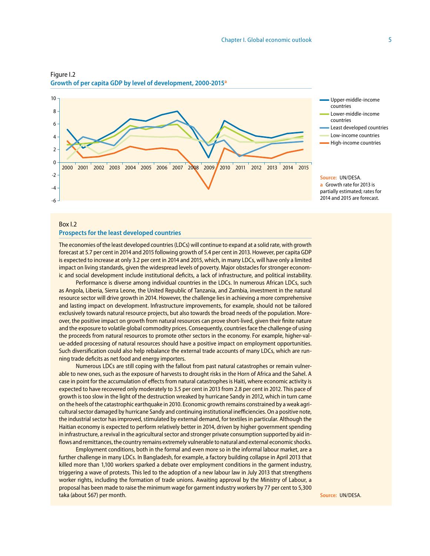

# Figure I.2

Box I.2

## **Prospects for the least developed countries**

The economies of the least developed countries (LDCs) will continue to expand at a solid rate, with growth forecast at 5.7 per cent in 2014 and 2015 following growth of 5.4 per cent in 2013. However, per capita GDP is expected to increase at only 3.2 per cent in 2014 and 2015, which, in many LDCs, will have only a limited impact on living standards, given the widespread levels of poverty. Major obstacles for stronger economic and social development include institutional deficits, a lack of infrastructure, and political instability.

Performance is diverse among individual countries in the LDCs. In numerous African LDCs, such as Angola, Liberia, Sierra Leone, the United Republic of Tanzania, and Zambia, investment in the natural resource sector will drive growth in 2014. However, the challenge lies in achieving a more comprehensive and lasting impact on development. Infrastructure improvements, for example, should not be tailored exclusively towards natural resource projects, but also towards the broad needs of the population. Moreover, the positive impact on growth from natural resources can prove short-lived, given their finite nature and the exposure to volatile global commodity prices. Consequently, countries face the challenge of using the proceeds from natural resources to promote other sectors in the economy. For example, higher-value-added processing of natural resources should have a positive impact on employment opportunities. Such diversification could also help rebalance the external trade accounts of many LDCs, which are running trade deficits as net food and energy importers.

Numerous LDCs are still coping with the fallout from past natural catastrophes or remain vulnerable to new ones, such as the exposure of harvests to drought risks in the Horn of Africa and the Sahel. A case in point for the accumulation of effects from natural catastrophes is Haiti, where economic activity is expected to have recovered only moderately to 3.5 per cent in 2013 from 2.8 per cent in 2012. This pace of growth is too slow in the light of the destruction wreaked by hurricane Sandy in 2012, which in turn came on the heels of the catastrophic earthquake in 2010. Economic growth remains constrained by a weak agricultural sector damaged by hurricane Sandy and continuing institutional inefficiencies. On a positive note, the industrial sector has improved, stimulated by external demand, for textiles in particular. Although the Haitian economy is expected to perform relatively better in 2014, driven by higher government spending in infrastructure, a revival in the agricultural sector and stronger private consumption supported by aid inflows and remittances, the country remains extremely vulnerable to natural and external economic shocks.

Employment conditions, both in the formal and even more so in the informal labour market, are a further challenge in many LDCs. In Bangladesh, for example, a factory building collapse in April 2013 that killed more than 1,100 workers sparked a debate over employment conditions in the garment industry, triggering a wave of protests. This led to the adoption of a new labour law in July 2013 that strengthens worker rights, including the formation of trade unions. Awaiting approval by the Ministry of Labour, a proposal has been made to raise the minimum wage for garment industry workers by 77 per cent to 5,300 taka (about \$67) per month. **Source:** UN/DESA.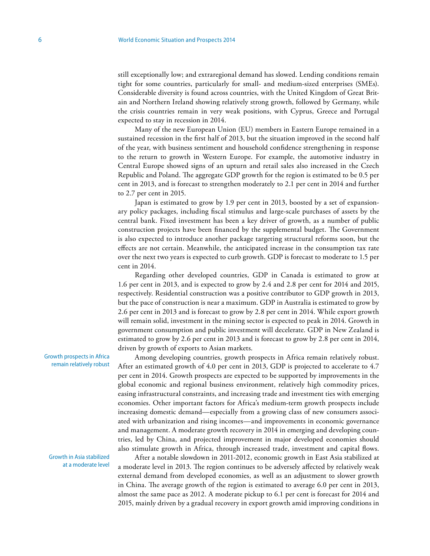still exceptionally low; and extraregional demand has slowed. Lending conditions remain tight for some countries, particularly for small- and medium-sized enterprises (SMEs). Considerable diversity is found across countries, with the United Kingdom of Great Britain and Northern Ireland showing relatively strong growth, followed by Germany, while the crisis countries remain in very weak positions, with Cyprus, Greece and Portugal expected to stay in recession in 2014.

Many of the new European Union (EU) members in Eastern Europe remained in a sustained recession in the first half of 2013, but the situation improved in the second half of the year, with business sentiment and household confidence strengthening in response to the return to growth in Western Europe. For example, the automotive industry in Central Europe showed signs of an upturn and retail sales also increased in the Czech Republic and Poland. The aggregate GDP growth for the region is estimated to be 0.5 per cent in 2013, and is forecast to strengthen moderately to 2.1 per cent in 2014 and further to 2.7 per cent in 2015.

Japan is estimated to grow by 1.9 per cent in 2013, boosted by a set of expansionary policy packages, including fiscal stimulus and large-scale purchases of assets by the central bank. Fixed investment has been a key driver of growth, as a number of public construction projects have been financed by the supplemental budget. The Government is also expected to introduce another package targeting structural reforms soon, but the effects are not certain. Meanwhile, the anticipated increase in the consumption tax rate over the next two years is expected to curb growth. GDP is forecast to moderate to 1.5 per cent in 2014.

Regarding other developed countries, GDP in Canada is estimated to grow at 1.6 per cent in 2013, and is expected to grow by 2.4 and 2.8 per cent for 2014 and 2015, respectively. Residential construction was a positive contributor to GDP growth in 2013, but the pace of construction is near a maximum. GDP in Australia is estimated to grow by 2.6 per cent in 2013 and is forecast to grow by 2.8 per cent in 2014. While export growth will remain solid, investment in the mining sector is expected to peak in 2014. Growth in government consumption and public investment will decelerate. GDP in New Zealand is estimated to grow by 2.6 per cent in 2013 and is forecast to grow by 2.8 per cent in 2014, driven by growth of exports to Asian markets.

Growth prospects in Africa remain relatively robust

Among developing countries, growth prospects in Africa remain relatively robust. After an estimated growth of 4.0 per cent in 2013, GDP is projected to accelerate to 4.7 per cent in 2014. Growth prospects are expected to be supported by improvements in the global economic and regional business environment, relatively high commodity prices, easing infrastructural constraints, and increasing trade and investment ties with emerging economies. Other important factors for Africa's medium-term growth prospects include increasing domestic demand—especially from a growing class of new consumers associated with urbanization and rising incomes—and improvements in economic governance and management. A moderate growth recovery in 2014 in emerging and developing countries, led by China, and projected improvement in major developed economies should also stimulate growth in Africa, through increased trade, investment and capital flows.

After a notable slowdown in 2011-2012, economic growth in East Asia stabilized at a moderate level in 2013. The region continues to be adversely affected by relatively weak external demand from developed economies, as well as an adjustment to slower growth in China. The average growth of the region is estimated to average 6.0 per cent in 2013, almost the same pace as 2012. A moderate pickup to 6.1 per cent is forecast for 2014 and 2015, mainly driven by a gradual recovery in export growth amid improving conditions in

Growth in Asia stabilized at a moderate level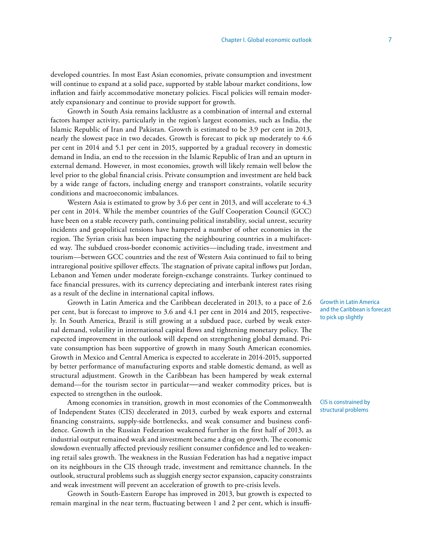developed countries. In most East Asian economies, private consumption and investment will continue to expand at a solid pace, supported by stable labour market conditions, low inflation and fairly accommodative monetary policies. Fiscal policies will remain moderately expansionary and continue to provide support for growth.

Growth in South Asia remains lacklustre as a combination of internal and external factors hamper activity, particularly in the region's largest economies, such as India, the Islamic Republic of Iran and Pakistan. Growth is estimated to be 3.9 per cent in 2013, nearly the slowest pace in two decades. Growth is forecast to pick up moderately to 4.6 per cent in 2014 and 5.1 per cent in 2015, supported by a gradual recovery in domestic demand in India, an end to the recession in the Islamic Republic of Iran and an upturn in external demand. However, in most economies, growth will likely remain well below the level prior to the global financial crisis. Private consumption and investment are held back by a wide range of factors, including energy and transport constraints, volatile security conditions and macroeconomic imbalances.

Western Asia is estimated to grow by 3.6 per cent in 2013, and will accelerate to 4.3 per cent in 2014. While the member countries of the Gulf Cooperation Council (GCC) have been on a stable recovery path, continuing political instability, social unrest, security incidents and geopolitical tensions have hampered a number of other economies in the region. The Syrian crisis has been impacting the neighbouring countries in a multifaceted way. The subdued cross-border economic activities—including trade, investment and tourism—between GCC countries and the rest of Western Asia continued to fail to bring intraregional positive spillover effects. The stagnation of private capital inflows put Jordan, Lebanon and Yemen under moderate foreign-exchange constraints. Turkey continued to face financial pressures, with its currency depreciating and interbank interest rates rising as a result of the decline in international capital inflows.

Growth in Latin America and the Caribbean decelerated in 2013, to a pace of 2.6 per cent, but is forecast to improve to 3.6 and 4.1 per cent in 2014 and 2015, respectively. In South America, Brazil is still growing at a subdued pace, curbed by weak external demand, volatility in international capital flows and tightening monetary policy. The expected improvement in the outlook will depend on strengthening global demand. Private consumption has been supportive of growth in many South American economies. Growth in Mexico and Central America is expected to accelerate in 2014-2015, supported by better performance of manufacturing exports and stable domestic demand, as well as structural adjustment. Growth in the Caribbean has been hampered by weak external demand—for the tourism sector in particular—and weaker commodity prices, but is expected to strengthen in the outlook.

Among economies in transition, growth in most economies of the Commonwealth of Independent States (CIS) decelerated in 2013, curbed by weak exports and external financing constraints, supply-side bottlenecks, and weak consumer and business confidence. Growth in the Russian Federation weakened further in the first half of 2013, as industrial output remained weak and investment became a drag on growth. The economic slowdown eventually affected previously resilient consumer confidence and led to weakening retail sales growth. The weakness in the Russian Federation has had a negative impact on its neighbours in the CIS through trade, investment and remittance channels. In the outlook, structural problems such as sluggish energy sector expansion, capacity constraints and weak investment will prevent an acceleration of growth to pre-crisis levels.

Growth in South-Eastern Europe has improved in 2013, but growth is expected to remain marginal in the near term, fluctuating between 1 and 2 per cent, which is insuffiGrowth in Latin America and the Caribbean is forecast to pick up slightly

CIS is constrained by structural problems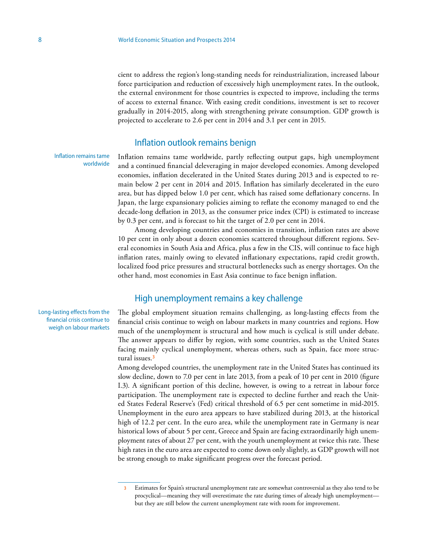cient to address the region's long-standing needs for reindustrialization, increased labour force participation and reduction of excessively high unemployment rates. In the outlook, the external environment for those countries is expected to improve, including the terms of access to external finance. With easing credit conditions, investment is set to recover gradually in 2014-2015, along with strengthening private consumption. GDP growth is projected to accelerate to 2.6 per cent in 2014 and 3.1 per cent in 2015.

# Inflation outlook remains benign

Inflation remains tame worldwide

Inflation remains tame worldwide, partly reflecting output gaps, high unemployment and a continued financial deleveraging in major developed economies. Among developed economies, inflation decelerated in the United States during 2013 and is expected to remain below 2 per cent in 2014 and 2015. Inflation has similarly decelerated in the euro area, but has dipped below 1.0 per cent, which has raised some deflationary concerns. In Japan, the large expansionary policies aiming to reflate the economy managed to end the decade-long deflation in 2013, as the consumer price index (CPI) is estimated to increase by 0.3 per cent, and is forecast to hit the target of 2.0 per cent in 2014.

Among developing countries and economies in transition, inflation rates are above 10 per cent in only about a dozen economies scattered throughout different regions. Several economies in South Asia and Africa, plus a few in the CIS, will continue to face high inflation rates, mainly owing to elevated inflationary expectations, rapid credit growth, localized food price pressures and structural bottlenecks such as energy shortages. On the other hand, most economies in East Asia continue to face benign inflation.

# High unemployment remains a key challenge

The global employment situation remains challenging, as long-lasting effects from the financial crisis continue to weigh on labour markets in many countries and regions. How much of the unemployment is structural and how much is cyclical is still under debate. The answer appears to differ by region, with some countries, such as the United States facing mainly cyclical unemployment, whereas others, such as Spain, face more structural issues.**<sup>3</sup>**

Among developed countries, the unemployment rate in the United States has continued its slow decline, down to 7.0 per cent in late 2013, from a peak of 10 per cent in 2010 (figure I.3). A significant portion of this decline, however, is owing to a retreat in labour force participation. The unemployment rate is expected to decline further and reach the United States Federal Reserve's (Fed) critical threshold of 6.5 per cent sometime in mid-2015. Unemployment in the euro area appears to have stabilized during 2013, at the historical high of 12.2 per cent. In the euro area, while the unemployment rate in Germany is near historical lows of about 5 per cent, Greece and Spain are facing extraordinarily high unemployment rates of about 27 per cent, with the youth unemployment at twice this rate. These high rates in the euro area are expected to come down only slightly, as GDP growth will not be strong enough to make significant progress over the forecast period.

Long-lasting effects from the financial crisis continue to weigh on labour markets

**<sup>3</sup>** Estimates for Spain's structural unemployment rate are somewhat controversial as they also tend to be procyclical—meaning they will overestimate the rate during times of already high unemployment but they are still below the current unemployment rate with room for improvement.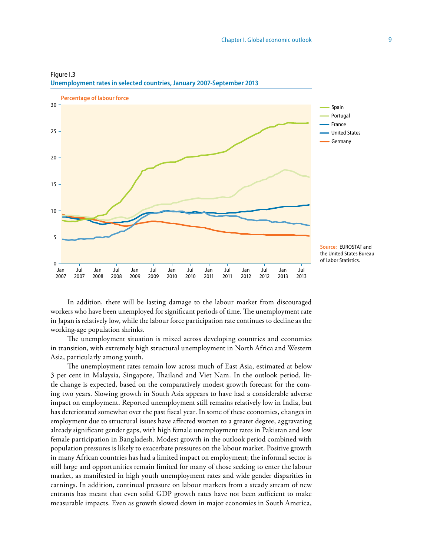

Figure I.3 **Unemployment rates in selected countries, January 2007-September 2013**

In addition, there will be lasting damage to the labour market from discouraged workers who have been unemployed for significant periods of time. The unemployment rate in Japan is relatively low, while the labour force participation rate continues to decline as the working-age population shrinks.

The unemployment situation is mixed across developing countries and economies in transition, with extremely high structural unemployment in North Africa and Western Asia, particularly among youth.

The unemployment rates remain low across much of East Asia, estimated at below 3 per cent in Malaysia, Singapore, Thailand and Viet Nam. In the outlook period, little change is expected, based on the comparatively modest growth forecast for the coming two years. Slowing growth in South Asia appears to have had a considerable adverse impact on employment. Reported unemployment still remains relatively low in India, but has deteriorated somewhat over the past fiscal year. In some of these economies, changes in employment due to structural issues have affected women to a greater degree, aggravating already significant gender gaps, with high female unemployment rates in Pakistan and low female participation in Bangladesh. Modest growth in the outlook period combined with population pressures is likely to exacerbate pressures on the labour market. Positive growth in many African countries has had a limited impact on employment; the informal sector is still large and opportunities remain limited for many of those seeking to enter the labour market, as manifested in high youth unemployment rates and wide gender disparities in earnings. In addition, continual pressure on labour markets from a steady stream of new entrants has meant that even solid GDP growth rates have not been sufficient to make measurable impacts. Even as growth slowed down in major economies in South America,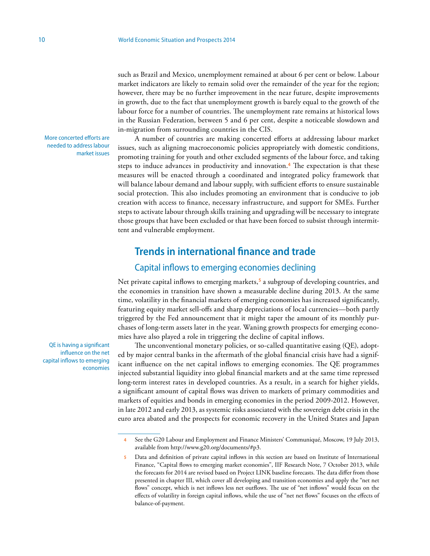such as Brazil and Mexico, unemployment remained at about 6 per cent or below. Labour market indicators are likely to remain solid over the remainder of the year for the region; however, there may be no further improvement in the near future, despite improvements in growth, due to the fact that unemployment growth is barely equal to the growth of the labour force for a number of countries. The unemployment rate remains at historical lows in the Russian Federation, between 5 and 6 per cent, despite a noticeable slowdown and in-migration from surrounding countries in the CIS.

More concerted efforts are needed to address labour market issues

A number of countries are making concerted efforts at addressing labour market issues, such as aligning macroeconomic policies appropriately with domestic conditions, promoting training for youth and other excluded segments of the labour force, and taking steps to induce advances in productivity and innovation.**<sup>4</sup>** The expectation is that these measures will be enacted through a coordinated and integrated policy framework that will balance labour demand and labour supply, with sufficient efforts to ensure sustainable social protection. This also includes promoting an environment that is conducive to job creation with access to finance, necessary infrastructure, and support for SMEs. Further steps to activate labour through skills training and upgrading will be necessary to integrate those groups that have been excluded or that have been forced to subsist through intermittent and vulnerable employment.

# **Trends in international finance and trade**

# Capital inflows to emerging economies declining

Net private capital inflows to emerging markets,**<sup>5</sup>** a subgroup of developing countries, and the economies in transition have shown a measurable decline during 2013. At the same time, volatility in the financial markets of emerging economies has increased significantly, featuring equity market sell-offs and sharp depreciations of local currencies—both partly triggered by the Fed announcement that it might taper the amount of its monthly purchases of long-term assets later in the year. Waning growth prospects for emerging economies have also played a role in triggering the decline of capital inflows.

The unconventional monetary policies, or so-called quantitative easing (QE), adopted by major central banks in the aftermath of the global financial crisis have had a significant influence on the net capital inflows to emerging economies. The QE programmes injected substantial liquidity into global financial markets and at the same time repressed long-term interest rates in developed countries. As a result, in a search for higher yields, a significant amount of capital flows was driven to markets of primary commodities and markets of equities and bonds in emerging economies in the period 2009-2012. However, in late 2012 and early 2013, as systemic risks associated with the sovereign debt crisis in the euro area abated and the prospects for economic recovery in the United States and Japan

**4** See the G20 Labour and Employment and Finance Ministers' Communiqué, Moscow, 19 July 2013, available from http://www.g20.org/documents/#p3.

QE is having a significant influence on the net capital inflows to emerging economies

**<sup>5</sup>** Data and definition of private capital inflows in this section are based on Institute of International Finance, "Capital flows to emerging market economies", IIF Research Note, 7 October 2013, while the forecasts for 2014 are revised based on Project LINK baseline forecasts. The data differ from those presented in chapter III, which cover all developing and transition economies and apply the "net net flows" concept, which is net inflows less net outflows. The use of "net inflows" would focus on the effects of volatility in foreign capital inflows, while the use of "net net flows" focuses on the effects of balance-of-payment.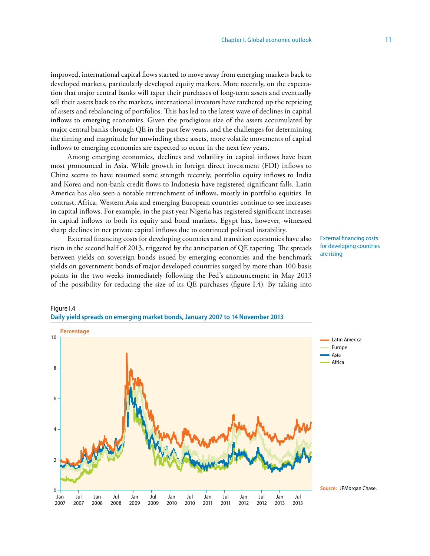improved, international capital flows started to move away from emerging markets back to developed markets, particularly developed equity markets. More recently, on the expectation that major central banks will taper their purchases of long-term assets and eventually sell their assets back to the markets, international investors have ratcheted up the repricing of assets and rebalancing of portfolios. This has led to the latest wave of declines in capital inflows to emerging economies. Given the prodigious size of the assets accumulated by major central banks through QE in the past few years, and the challenges for determining the timing and magnitude for unwinding these assets, more volatile movements of capital inflows to emerging economies are expected to occur in the next few years.

Among emerging economies, declines and volatility in capital inflows have been most pronounced in Asia. While growth in foreign direct investment (FDI) inflows to China seems to have resumed some strength recently, portfolio equity inflows to India and Korea and non-bank credit flows to Indonesia have registered significant falls. Latin America has also seen a notable retrenchment of inflows, mostly in portfolio equities. In contrast, Africa, Western Asia and emerging European countries continue to see increases in capital inflows. For example, in the past year Nigeria has registered significant increases in capital inflows to both its equity and bond markets. Egypt has, however, witnessed sharp declines in net private capital inflows due to continued political instability.

External financing costs for developing countries and transition economies have also risen in the second half of 2013, triggered by the anticipation of QE tapering. The spreads between yields on sovereign bonds issued by emerging economies and the benchmark yields on government bonds of major developed countries surged by more than 100 basis points in the two weeks immediately following the Fed's announcement in May 2013 of the possibility for reducing the size of its QE purchases (figure I.4). By taking into



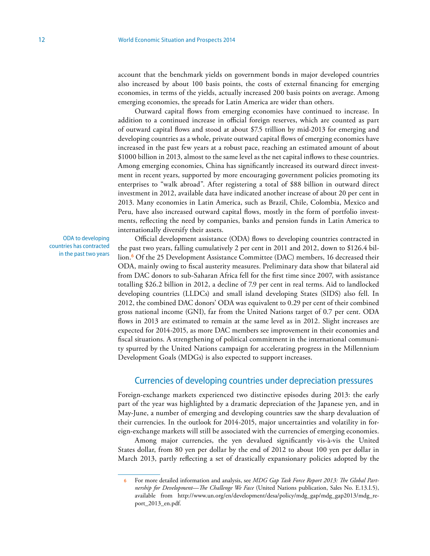account that the benchmark yields on government bonds in major developed countries also increased by about 100 basis points, the costs of external financing for emerging economies, in terms of the yields, actually increased 200 basis points on average. Among emerging economies, the spreads for Latin America are wider than others.

Outward capital flows from emerging economies have continued to increase. In addition to a continued increase in official foreign reserves, which are counted as part of outward capital flows and stood at about \$7.5 trillion by mid-2013 for emerging and developing countries as a whole, private outward capital flows of emerging economies have increased in the past few years at a robust pace, reaching an estimated amount of about \$1000 billion in 2013, almost to the same level as the net capital inflows to these countries. Among emerging economies, China has significantly increased its outward direct investment in recent years, supported by more encouraging government policies promoting its enterprises to "walk abroad". After registering a total of \$88 billion in outward direct investment in 2012, available data have indicated another increase of about 20 per cent in 2013. Many economies in Latin America, such as Brazil, Chile, Colombia, Mexico and Peru, have also increased outward capital flows, mostly in the form of portfolio investments, reflecting the need by companies, banks and pension funds in Latin America to internationally diversify their assets.

ODA to developing countries has contracted in the past two years

Official development assistance (ODA) flows to developing countries contracted in the past two years, falling cumulatively 2 per cent in 2011 and 2012, down to \$126.4 billion.**<sup>6</sup>** Of the 25 Development Assistance Committee (DAC) members, 16 decreased their ODA, mainly owing to fiscal austerity measures. Preliminary data show that bilateral aid from DAC donors to sub-Saharan Africa fell for the first time since 2007, with assistance totalling \$26.2 billion in 2012, a decline of 7.9 per cent in real terms. Aid to landlocked developing countries (LLDCs) and small island developing States (SIDS) also fell. In 2012, the combined DAC donors' ODA was equivalent to 0.29 per cent of their combined gross national income (GNI), far from the United Nations target of 0.7 per cent. ODA flows in 2013 are estimated to remain at the same level as in 2012. Slight increases are expected for 2014-2015, as more DAC members see improvement in their economies and fiscal situations. A strengthening of political commitment in the international community spurred by the United Nations campaign for accelerating progress in the Millennium Development Goals (MDGs) is also expected to support increases.

# Currencies of developing countries under depreciation pressures

Foreign-exchange markets experienced two distinctive episodes during 2013: the early part of the year was highlighted by a dramatic depreciation of the Japanese yen, and in May-June, a number of emerging and developing countries saw the sharp devaluation of their currencies. In the outlook for 2014-2015, major uncertainties and volatility in foreign-exchange markets will still be associated with the currencies of emerging economies.

Among major currencies, the yen devalued significantly vis-à-vis the United States dollar, from 80 yen per dollar by the end of 2012 to about 100 yen per dollar in March 2013, partly reflecting a set of drastically expansionary policies adopted by the

**<sup>6</sup>** For more detailed information and analysis, see *MDG Gap Task Force Report 2013: The Global Partnership for Development—The Challenge We Face* (United Nations publication, Sales No. E.13.I.5), available from http://www.un.org/en/development/desa/policy/mdg\_gap/mdg\_gap2013/mdg\_report\_2013\_en.pdf.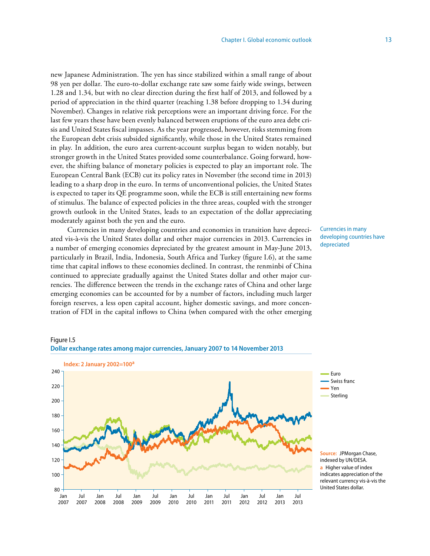new Japanese Administration. The yen has since stabilized within a small range of about 98 yen per dollar. The euro-to-dollar exchange rate saw some fairly wide swings, between 1.28 and 1.34, but with no clear direction during the first half of 2013, and followed by a period of appreciation in the third quarter (reaching 1.38 before dropping to 1.34 during November). Changes in relative risk perceptions were an important driving force. For the last few years these have been evenly balanced between eruptions of the euro area debt crisis and United States fiscal impasses. As the year progressed, however, risks stemming from the European debt crisis subsided significantly, while those in the United States remained in play. In addition, the euro area current-account surplus began to widen notably, but stronger growth in the United States provided some counterbalance. Going forward, however, the shifting balance of monetary policies is expected to play an important role. The European Central Bank (ECB) cut its policy rates in November (the second time in 2013) leading to a sharp drop in the euro. In terms of unconventional policies, the United States is expected to taper its QE programme soon, while the ECB is still entertaining new forms of stimulus. The balance of expected policies in the three areas, coupled with the stronger growth outlook in the United States, leads to an expectation of the dollar appreciating moderately against both the yen and the euro.

Currencies in many developing countries and economies in transition have depreciated vis-à-vis the United States dollar and other major currencies in 2013. Currencies in a number of emerging economies depreciated by the greatest amount in May-June 2013, particularly in Brazil, India, Indonesia, South Africa and Turkey (figure I.6), at the same time that capital inflows to these economies declined. In contrast, the renminbi of China continued to appreciate gradually against the United States dollar and other major currencies. The difference between the trends in the exchange rates of China and other large emerging economies can be accounted for by a number of factors, including much larger foreign reserves, a less open capital account, higher domestic savings, and more concentration of FDI in the capital inflows to China (when compared with the other emerging





# Figure I.5

**Source:** JPMorgan Chase, indexed by UN/DESA. **a** Higher value of index indicates appreciation of the relevant currency vis-à-vis the United States dollar.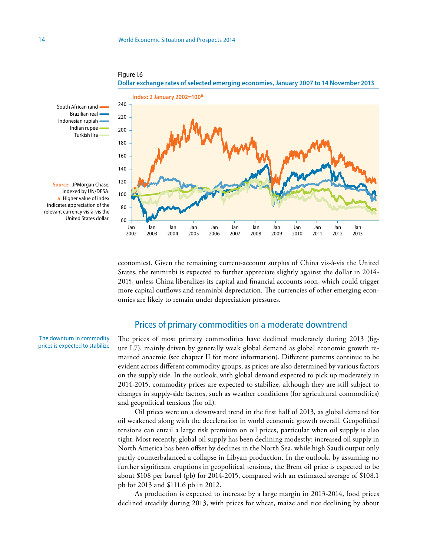

economies). Given the remaining current-account surplus of China vis-à-vis the United States, the renminbi is expected to further appreciate slightly against the dollar in 2014- 2015, unless China liberalizes its capital and financial accounts soon, which could trigger more capital outflows and renminbi depreciation. The currencies of other emerging economies are likely to remain under depreciation pressures.

## Prices of primary commodities on a moderate downtrend

The prices of most primary commodities have declined moderately during 2013 (figure I.7), mainly driven by generally weak global demand as global economic growth remained anaemic (see chapter II for more information). Different patterns continue to be evident across different commodity groups, as prices are also determined by various factors on the supply side. In the outlook, with global demand expected to pick up moderately in 2014-2015, commodity prices are expected to stabilize, although they are still subject to changes in supply-side factors, such as weather conditions (for agricultural commodities) and geopolitical tensions (for oil).

Oil prices were on a downward trend in the first half of 2013, as global demand for oil weakened along with the deceleration in world economic growth overall. Geopolitical tensions can entail a large risk premium on oil prices, particular when oil supply is also tight. Most recently, global oil supply has been declining modestly: increased oil supply in North America has been offset by declines in the North Sea, while high Saudi output only partly counterbalanced a collapse in Libyan production. In the outlook, by assuming no further significant eruptions in geopolitical tensions, the Brent oil price is expected to be about \$108 per barrel (pb) for 2014-2015, compared with an estimated average of \$108.1 pb for 2013 and \$111.6 pb in 2012.

As production is expected to increase by a large margin in 2013-2014, food prices declined steadily during 2013, with prices for wheat, maize and rice declining by about

The downturn in commodity prices is expected to stabilize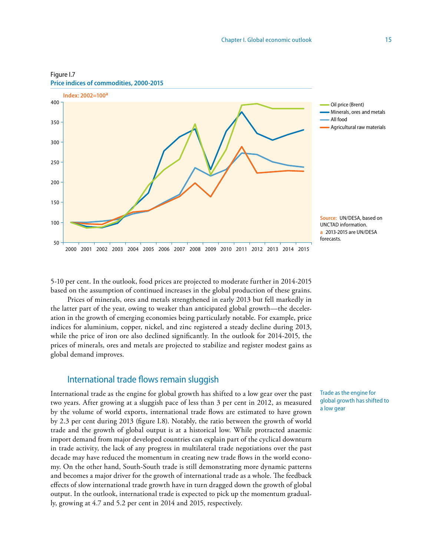

# Figure I.7

5-10 per cent. In the outlook, food prices are projected to moderate further in 2014-2015 based on the assumption of continued increases in the global production of these grains.

Prices of minerals, ores and metals strengthened in early 2013 but fell markedly in the latter part of the year, owing to weaker than anticipated global growth—the deceleration in the growth of emerging economies being particularly notable. For example, price indices for aluminium, copper, nickel, and zinc registered a steady decline during 2013, while the price of iron ore also declined significantly. In the outlook for 2014-2015, the prices of minerals, ores and metals are projected to stabilize and register modest gains as global demand improves.

# International trade flows remain sluggish

International trade as the engine for global growth has shifted to a low gear over the past two years. After growing at a sluggish pace of less than 3 per cent in 2012, as measured by the volume of world exports, international trade flows are estimated to have grown by 2.3 per cent during 2013 (figure I.8). Notably, the ratio between the growth of world trade and the growth of global output is at a historical low. While protracted anaemic import demand from major developed countries can explain part of the cyclical downturn in trade activity, the lack of any progress in multilateral trade negotiations over the past decade may have reduced the momentum in creating new trade flows in the world economy. On the other hand, South-South trade is still demonstrating more dynamic patterns and becomes a major driver for the growth of international trade as a whole. The feedback effects of slow international trade growth have in turn dragged down the growth of global output. In the outlook, international trade is expected to pick up the momentum gradually, growing at 4.7 and 5.2 per cent in 2014 and 2015, respectively.

Trade as the engine for global growth has shifted to a low gear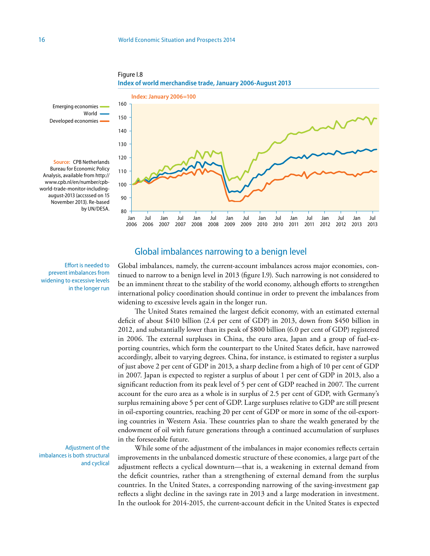

Global imbalances narrowing to a benign level

Figure I.8 **Index of world merchandise trade, January 2006-August 2013**

Effort is needed to prevent imbalances from widening to excessive levels in the longer run

Adjustment of the imbalances is both structural and cyclical

Global imbalances, namely, the current-account imbalances across major economies, continued to narrow to a benign level in 2013 (figure I.9). Such narrowing is not considered to be an imminent threat to the stability of the world economy, although efforts to strengthen international policy coordination should continue in order to prevent the imbalances from widening to excessive levels again in the longer run.

The United States remained the largest deficit economy, with an estimated external deficit of about \$410 billion (2.4 per cent of GDP) in 2013, down from \$450 billion in 2012, and substantially lower than its peak of \$800 billion (6.0 per cent of GDP) registered in 2006. The external surpluses in China, the euro area, Japan and a group of fuel-exporting countries, which form the counterpart to the United States deficit, have narrowed accordingly, albeit to varying degrees. China, for instance, is estimated to register a surplus of just above 2 per cent of GDP in 2013, a sharp decline from a high of 10 per cent of GDP in 2007. Japan is expected to register a surplus of about 1 per cent of GDP in 2013, also a significant reduction from its peak level of 5 per cent of GDP reached in 2007. The current account for the euro area as a whole is in surplus of 2.5 per cent of GDP, with Germany's surplus remaining above 5 per cent of GDP. Large surpluses relative to GDP are still present in oil-exporting countries, reaching 20 per cent of GDP or more in some of the oil-exporting countries in Western Asia. These countries plan to share the wealth generated by the endowment of oil with future generations through a continued accumulation of surpluses in the foreseeable future.

While some of the adjustment of the imbalances in major economies reflects certain improvements in the unbalanced domestic structure of these economies, a large part of the adjustment reflects a cyclical downturn—that is, a weakening in external demand from the deficit countries, rather than a strengthening of external demand from the surplus countries. In the United States, a corresponding narrowing of the saving-investment gap reflects a slight decline in the savings rate in 2013 and a large moderation in investment. In the outlook for 2014-2015, the current-account deficit in the United States is expected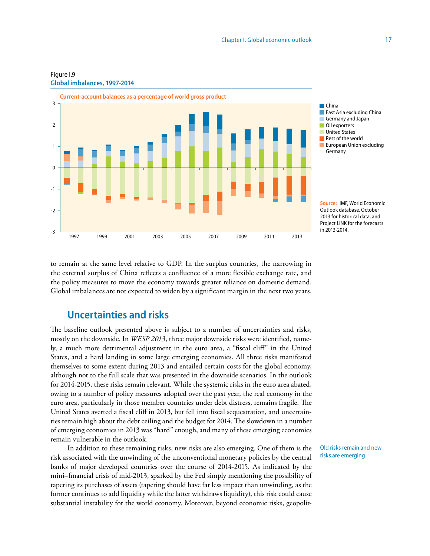#### **Current-account balances as a percentage of world gross product** 3 China East Asia excluding China T. Germany and Japan 2 Oil exporters United States Rest of the world European Union excluding 1 Germany  $\Omega$ -1 **Source:** IMF, World Economic -2 Outlook database, October 2013 for historical data, and Project LINK for the forecasts in 2013-2014.-3 1997 1999 2001 2003 2005 2007 2009 2011 2013

## Figure I.9 **Global imbalances, 1997-2014**

to remain at the same level relative to GDP. In the surplus countries, the narrowing in the external surplus of China reflects a confluence of a more flexible exchange rate, and the policy measures to move the economy towards greater reliance on domestic demand. Global imbalances are not expected to widen by a significant margin in the next two years.

# **Uncertainties and risks**

The baseline outlook presented above is subject to a number of uncertainties and risks, mostly on the downside. In *WESP 2013*, three major downside risks were identified, namely, a much more detrimental adjustment in the euro area, a "fiscal cliff" in the United States, and a hard landing in some large emerging economies. All three risks manifested themselves to some extent during 2013 and entailed certain costs for the global economy, although not to the full scale that was presented in the downside scenarios. In the outlook for 2014-2015, these risks remain relevant. While the systemic risks in the euro area abated, owing to a number of policy measures adopted over the past year, the real economy in the euro area, particularly in those member countries under debt distress, remains fragile. The United States averted a fiscal cliff in 2013, but fell into fiscal sequestration, and uncertainties remain high about the debt ceiling and the budget for 2014. The slowdown in a number of emerging economies in 2013 was "hard" enough, and many of these emerging economies remain vulnerable in the outlook.

In addition to these remaining risks, new risks are also emerging. One of them is the risk associated with the unwinding of the unconventional monetary policies by the central banks of major developed countries over the course of 2014-2015. As indicated by the mini–financial crisis of mid-2013, sparked by the Fed simply mentioning the possibility of tapering its purchases of assets (tapering should have far less impact than unwinding, as the former continues to add liquidity while the latter withdraws liquidity), this risk could cause substantial instability for the world economy. Moreover, beyond economic risks, geopolitOld risks remain and new risks are emerging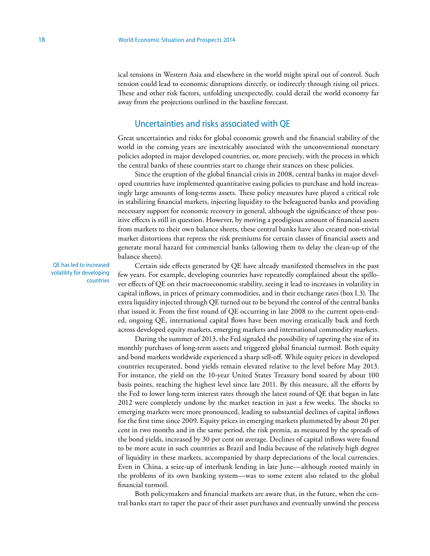ical tensions in Western Asia and elsewhere in the world might spiral out of control. Such tension could lead to economic disruptions directly, or indirectly through rising oil prices. These and other risk factors, unfolding unexpectedly, could derail the world economy far away from the projections outlined in the baseline forecast.

# Uncertainties and risks associated with QE

Great uncertainties and risks for global economic growth and the financial stability of the world in the coming years are inextricably associated with the unconventional monetary policies adopted in major developed countries, or, more precisely, with the process in which the central banks of these countries start to change their stances on these policies.

Since the eruption of the global financial crisis in 2008, central banks in major developed countries have implemented quantitative easing policies to purchase and hold increasingly large amounts of long-terms assets. These policy measures have played a critical role in stabilizing financial markets, injecting liquidity to the beleaguered banks and providing necessary support for economic recovery in general, although the significance of these positive effects is still in question. However, by moving a prodigious amount of financial assets from markets to their own balance sheets, these central banks have also created non-trivial market distortions that repress the risk premiums for certain classes of financial assets and generate moral hazard for commercial banks (allowing them to delay the clean-up of the balance sheets).

QE has led to increased volatility for developing countries

Certain side effects generated by QE have already manifested themselves in the past few years. For example, developing countries have repeatedly complained about the spillover effects of QE on their macroeconomic stability, seeing it lead to increases in volatility in capital inflows, in prices of primary commodities, and in their exchange rates (box I.3). The extra liquidity injected through QE turned out to be beyond the control of the central banks that issued it. From the first round of QE occurring in late 2008 to the current open-ended, ongoing QE, international capital flows have been moving erratically back and forth across developed equity markets, emerging markets and international commodity markets.

During the summer of 2013, the Fed signaled the possibility of tapering the size of its monthly purchases of long-term assets and triggered global financial turmoil. Both equity and bond markets worldwide experienced a sharp sell-off. While equity prices in developed countries recuperated, bond yields remain elevated relative to the level before May 2013. For instance, the yield on the 10-year United States Treasury bond soared by about 100 basis points, reaching the highest level since late 2011. By this measure, all the efforts by the Fed to lower long-term interest rates through the latest round of QE that began in late 2012 were completely undone by the market reaction in just a few weeks. The shocks to emerging markets were more pronounced, leading to substantial declines of capital inflows for the first time since 2009. Equity prices in emerging markets plummeted by about 20 per cent in two months and in the same period, the risk premia, as measured by the spreads of the bond yields, increased by 30 per cent on average. Declines of capital inflows were found to be more acute in such countries as Brazil and India because of the relatively high degree of liquidity in these markets, accompanied by sharp depreciations of the local currencies. Even in China, a seize-up of interbank lending in late June—although rooted mainly in the problems of its own banking system—was to some extent also related to the global financial turmoil.

Both policymakers and financial markets are aware that, in the future, when the central banks start to taper the pace of their asset purchases and eventually unwind the process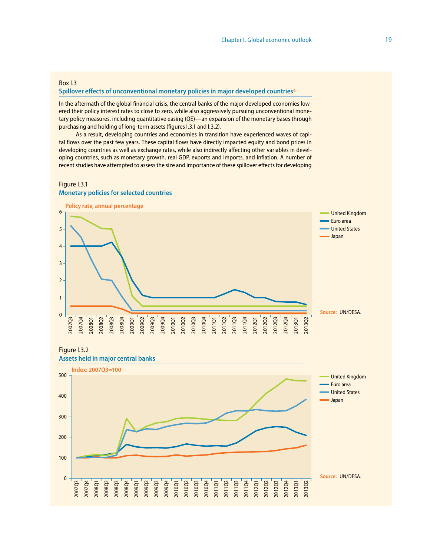#### Box I.3

#### **Spillover effects of unconventional monetary policies in major developed countriesa**

In the aftermath of the global financial crisis, the central banks of the major developed economies lowered their policy interest rates to close to zero, while also aggressively pursuing unconventional monetary policy measures, including quantitative easing (QE)—an expansion of the monetary bases through purchasing and holding of long-term assets (figures I.3.1 and I.3.2).

As a result, developing countries and economies in transition have experienced waves of capital flows over the past few years. These capital flows have directly impacted equity and bond prices in developing countries as well as exchange rates, while also indirectly affecting other variables in developing countries, such as monetary growth, real GDP, exports and imports, and inflation. A number of recent studies have attempted to assess the size and importance of these spillover effects for developing

## Figure I.3.1 **Monetary policies for selected countries**





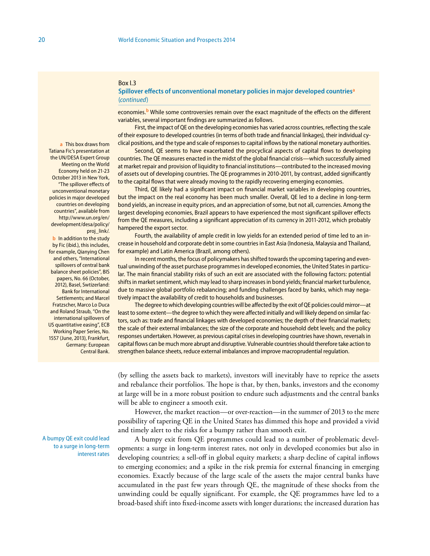#### Box I.3

## **Spillover effects of unconventional monetary policies in major developed countriesa** (*continued*)

economies.**b** While some controversies remain over the exact magnitude of the effects on the different variables, several important findings are summarized as follows.

First, the impact of QE on the developing economies has varied across countries, reflecting the scale of their exposure to developed countries (in terms of both trade and financial linkages), their individual cyclical positions, and the type and scale of responses to capital inflows by the national monetary authorities.

Second, QE seems to have exacerbated the procyclical aspects of capital flows to developing countries. The QE measures enacted in the midst of the global financial crisis—which successfully aimed at market repair and provision of liquidity to financial institutions—contributed to the increased moving of assets out of developing countries. The QE programmes in 2010-2011, by contrast, added significantly to the capital flows that were already moving to the rapidly recovering emerging economies.

Third, QE likely had a significant impact on financial market variables in developing countries, but the impact on the real economy has been much smaller. Overall, QE led to a decline in long-term bond yields, an increase in equity prices, and an appreciation of some, but not all, currencies. Among the largest developing economies, Brazil appears to have experienced the most significant spillover effects from the QE measures, including a significant appreciation of its currency in 2011-2012, which probably hampered the export sector.

Fourth, the availability of ample credit in low yields for an extended period of time led to an increase in household and corporate debt in some countries in East Asia (Indonesia, Malaysia and Thailand, for example) and Latin America (Brazil, among others).

In recent months, the focus of policymakers has shifted towards the upcoming tapering and eventual unwinding of the asset purchase programmes in developed economies, the United States in particular. The main financial stability risks of such an exit are associated with the following factors: potential shifts in market sentiment, which may lead to sharp increases in bond yields; financial market turbulence, due to massive global portfolio rebalancing; and funding challenges faced by banks, which may negatively impact the availability of credit to households and businesses.

The degree to which developing countries will be affected by the exit of QE policies could mirror—at least to some extent—the degree to which they were affected initially and will likely depend on similar factors, such as: trade and financial linkages with developed economies; the depth of their financial markets; the scale of their external imbalances; the size of the corporate and household debt levels; and the policy responses undertaken. However, as previous capital crises in developing countries have shown, reversals in capital flows can be much more abrupt and disruptive. Vulnerable countries should therefore take action to strengthen balance sheets, reduce external imbalances and improve macroprudential regulation.

(by selling the assets back to markets), investors will inevitably have to reprice the assets and rebalance their portfolios. The hope is that, by then, banks, investors and the economy at large will be in a more robust position to endure such adjustments and the central banks will be able to engineer a smooth exit.

However, the market reaction—or over-reaction—in the summer of 2013 to the mere possibility of tapering QE in the United States has dimmed this hope and provided a vivid and timely alert to the risks for a bumpy rather than smooth exit.

A bumpy exit from QE programmes could lead to a number of problematic developments: a surge in long-term interest rates, not only in developed economies but also in developing countries; a sell-off in global equity markets; a sharp decline of capital inflows to emerging economies; and a spike in the risk premia for external financing in emerging economies. Exactly because of the large scale of the assets the major central banks have accumulated in the past few years through QE, the magnitude of these shocks from the unwinding could be equally significant. For example, the QE programmes have led to a broad-based shift into fixed-income assets with longer durations; the increased duration has

**a** This box draws from Tatiana Fic's presentation at the UN/DESA Expert Group Meeting on the World Economy held on 21-23 October 2013 in New York, "The spillover effects of unconventional monetary policies in major developed countries on developing countries", available from http://www.un.org/en/ development/desa/policy/ proj\_link/.

**b** In addition to the study by Fic (ibid.), this includes, for example, Qianying Chen and others, "International spillovers of central bank balance sheet policies", BIS papers, No. 66 (October, 2012), Basel, Swtizerland: Bank for International Settlements; and Marcel Fratzscher, Marco Lo Duca and Roland Straub, "On the international spillovers of US quantitative easing", ECB Working Paper Series, No. 1557 (June, 2013), Frankfurt, Germany: European Central Bank.

A bumpy QE exit could lead to a surge in long-term interest rates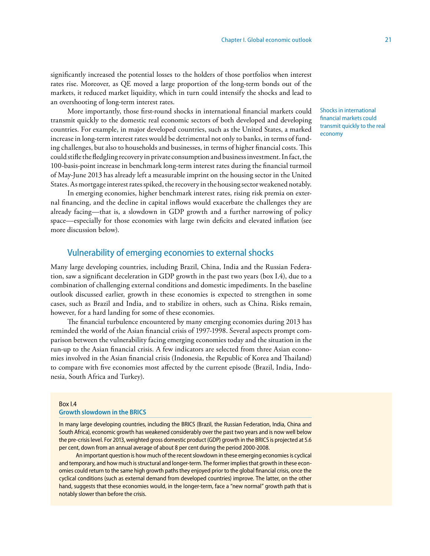significantly increased the potential losses to the holders of those portfolios when interest rates rise. Moreover, as QE moved a large proportion of the long-term bonds out of the markets, it reduced market liquidity, which in turn could intensify the shocks and lead to an overshooting of long-term interest rates.

More importantly, those first-round shocks in international financial markets could transmit quickly to the domestic real economic sectors of both developed and developing countries. For example, in major developed countries, such as the United States, a marked increase in long-term interest rates would be detrimental not only to banks, in terms of funding challenges, but also to households and businesses, in terms of higher financial costs. This could stifle the fledgling recovery in private consumption and business investment. In fact, the 100-basis-point increase in benchmark long-term interest rates during the financial turmoil of May-June 2013 has already left a measurable imprint on the housing sector in the United States. As mortgage interest rates spiked, the recovery in the housing sector weakened notably.

In emerging economies, higher benchmark interest rates, rising risk premia on external financing, and the decline in capital inflows would exacerbate the challenges they are already facing—that is, a slowdown in GDP growth and a further narrowing of policy space—especially for those economies with large twin deficits and elevated inflation (see more discussion below).

## Vulnerability of emerging economies to external shocks

Many large developing countries, including Brazil, China, India and the Russian Federation, saw a significant deceleration in GDP growth in the past two years (box I.4), due to a combination of challenging external conditions and domestic impediments. In the baseline outlook discussed earlier, growth in these economies is expected to strengthen in some cases, such as Brazil and India, and to stabilize in others, such as China. Risks remain, however, for a hard landing for some of these economies.

The financial turbulence encountered by many emerging economies during 2013 has reminded the world of the Asian financial crisis of 1997-1998. Several aspects prompt comparison between the vulnerability facing emerging economies today and the situation in the run-up to the Asian financial crisis. A few indicators are selected from three Asian economies involved in the Asian financial crisis (Indonesia, the Republic of Korea and Thailand) to compare with five economies most affected by the current episode (Brazil, India, Indonesia, South Africa and Turkey).

## Box I.4

## **Growth slowdown in the BRICS**

In many large developing countries, including the BRICS (Brazil, the Russian Federation, India, China and South Africa), economic growth has weakened considerably over the past two years and is now well below the pre-crisis level. For 2013, weighted gross domestic product (GDP) growth in the BRICS is projected at 5.6 per cent, down from an annual average of about 8 per cent during the period 2000-2008.

An important question is how much of the recent slowdown in these emerging economies is cyclical and temporary, and how much is structural and longer-term. The former implies that growth in these economies could return to the same high growth paths they enjoyed prior to the global financial crisis, once the cyclical conditions (such as external demand from developed countries) improve. The latter, on the other hand, suggests that these economies would, in the longer-term, face a "new normal" growth path that is notably slower than before the crisis.

Shocks in international financial markets could transmit quickly to the real economy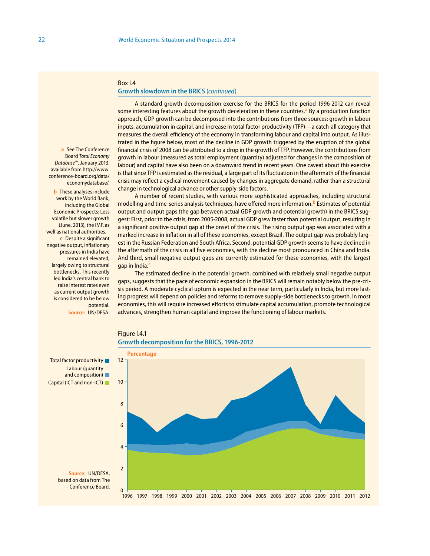## Box I.4 **Growth slowdown in the BRICS** (*continued*)

A standard growth decomposition exercise for the BRICS for the period 1996-2012 can reveal some interesting features about the growth deceleration in these countries.**a** By a production function approach, GDP growth can be decomposed into the contributions from three sources: growth in labour inputs, accumulation in capital, and increase in total factor productivity (TFP)—a catch-all category that measures the overall efficiency of the economy in transforming labour and capital into output. As illustrated in the figure below, most of the decline in GDP growth triggered by the eruption of the global financial crisis of 2008 can be attributed to a drop in the growth of TFP. However, the contributions from growth in labour (measured as total employment (quantity) adjusted for changes in the composition of labour) and capital have also been on a downward trend in recent years. One caveat about this exercise is that since TFP is estimated as the residual, a large part of its fluctuation in the aftermath of the financial crisis may reflect a cyclical movement caused by changes in aggregate demand, rather than a structural change in technological advance or other supply-side factors.

A number of recent studies, with various more sophisticated approaches, including structural modelling and time-series analysis techniques, have offered more information. **<sup>b</sup>** Estimates of potential output and output gaps (the gap between actual GDP growth and potential growth) in the BRICS suggest: First, prior to the crisis, from 2005-2008, actual GDP grew faster than potential output, resulting in a significant positive output gap at the onset of the crisis. The rising output gap was associated with a marked increase in inflation in all of these economies, except Brazil. The output gap was probably largest in the Russian Federation and South Africa. Second, potential GDP growth seems to have declined in the aftermath of the crisis in all five economies, with the decline most pronounced in China and India. And third, small negative output gaps are currently estimated for these economies, with the largest gap in India.**<sup>c</sup>**

The estimated decline in the potential growth, combined with relatively small negative output gaps, suggests that the pace of economic expansion in the BRICS will remain notably below the pre-crisis period. A moderate cyclical upturn is expected in the near term, particularly in India, but more lasting progress will depend on policies and reforms to remove supply-side bottlenecks to growth. In most economies, this will require increased efforts to stimulate capital accumulation, promote technological advances, strengthen human capital and improve the functioning of labour markets.



**a** See The Conference Board *Total Economy Database*™, January 2013, available from http://www. conference-board.org/data/ economydatabase/.

**b** These analyses include work by the World Bank, including the Global Economic Prospects: Less volatile but slower growth (June, 2013), the IMF, as well as national authorities. c Despite a significant negative output, inflationary pressures in India have remained elevated, largely owing to structural bottlenecks. This recently led India's central bank to raise interest rates even as current output growth is considered to be below potential. **Source:** UN/DESA.

Capital (ICT and non-ICT) Labour (quantity and composition) Total factor productivity

Figure I.4.1

**Source:** UN/DESA, based on data from The Conference Board.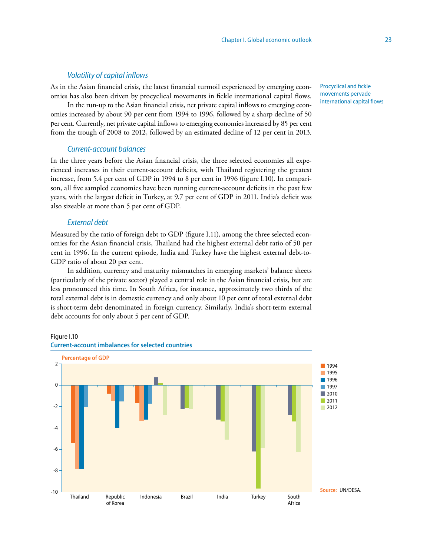## *Volatility of capital inflows*

As in the Asian financial crisis, the latest financial turmoil experienced by emerging economies has also been driven by procyclical movements in fickle international capital flows.

In the run-up to the Asian financial crisis, net private capital inflows to emerging economies increased by about 90 per cent from 1994 to 1996, followed by a sharp decline of 50 per cent. Currently, net private capital inflows to emerging economies increased by 85 per cent from the trough of 2008 to 2012, followed by an estimated decline of 12 per cent in 2013.

## *Current-account balances*

In the three years before the Asian financial crisis, the three selected economies all experienced increases in their current-account deficits, with Thailand registering the greatest increase, from 5.4 per cent of GDP in 1994 to 8 per cent in 1996 (figure I.10). In comparison, all five sampled economies have been running current-account deficits in the past few years, with the largest deficit in Turkey, at 9.7 per cent of GDP in 2011. India's deficit was also sizeable at more than 5 per cent of GDP.

#### *External debt*

Measured by the ratio of foreign debt to GDP (figure I.11), among the three selected economies for the Asian financial crisis, Thailand had the highest external debt ratio of 50 per cent in 1996. In the current episode, India and Turkey have the highest external debt-to-GDP ratio of about 20 per cent.

In addition, currency and maturity mismatches in emerging markets' balance sheets (particularly of the private sector) played a central role in the Asian financial crisis, but are less pronounced this time. In South Africa, for instance, approximately two thirds of the total external debt is in domestic currency and only about 10 per cent of total external debt is short-term debt denominated in foreign currency. Similarly, India's short-term external debt accounts for only about 5 per cent of GDP.

#### Figure I.10



**Current-account imbalances for selected countries**

Procyclical and fickle movements pervade international capital flows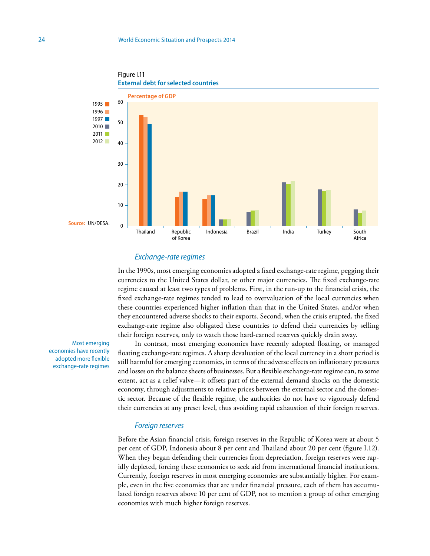

## *Exchange-rate regimes*

In the 1990s, most emerging economies adopted a fixed exchange-rate regime, pegging their currencies to the United States dollar, or other major currencies. The fixed exchange-rate regime caused at least two types of problems. First, in the run-up to the financial crisis, the fixed exchange-rate regimes tended to lead to overvaluation of the local currencies when these countries experienced higher inflation than that in the United States, and/or when they encountered adverse shocks to their exports. Second, when the crisis erupted, the fixed exchange-rate regime also obligated these countries to defend their currencies by selling their foreign reserves, only to watch those hard-earned reserves quickly drain away.

Most emerging economies have recently adopted more flexible exchange-rate regimes

In contrast, most emerging economies have recently adopted floating, or managed floating exchange-rate regimes. A sharp devaluation of the local currency in a short period is still harmful for emerging economies, in terms of the adverse effects on inflationary pressures and losses on the balance sheets of businesses. But a flexible exchange-rate regime can, to some extent, act as a relief valve—it offsets part of the external demand shocks on the domestic economy, through adjustments to relative prices between the external sector and the domestic sector. Because of the flexible regime, the authorities do not have to vigorously defend their currencies at any preset level, thus avoiding rapid exhaustion of their foreign reserves.

## *Foreign reserves*

Before the Asian financial crisis, foreign reserves in the Republic of Korea were at about 5 per cent of GDP, Indonesia about 8 per cent and Thailand about 20 per cent (figure I.12). When they began defending their currencies from depreciation, foreign reserves were rapidly depleted, forcing these economies to seek aid from international financial institutions. Currently, foreign reserves in most emerging economies are substantially higher. For example, even in the five economies that are under financial pressure, each of them has accumulated foreign reserves above 10 per cent of GDP, not to mention a group of other emerging economies with much higher foreign reserves.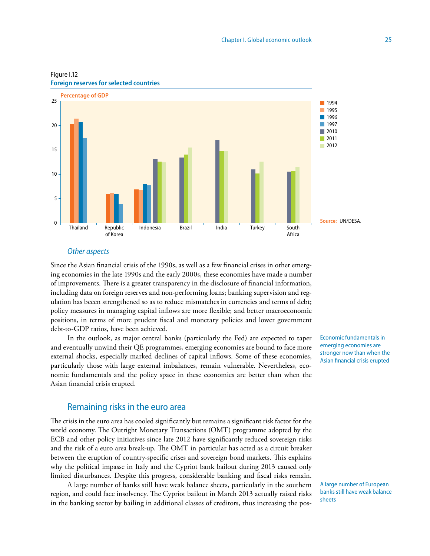

## Figure I.12 **Foreign reserves for selected countries**

## *Other aspects*

Since the Asian financial crisis of the 1990s, as well as a few financial crises in other emerging economies in the late 1990s and the early 2000s, these economies have made a number of improvements. There is a greater transparency in the disclosure of financial information, including data on foreign reserves and non-performing loans; banking supervision and regulation has beeen strengthened so as to reduce mismatches in currencies and terms of debt; policy measures in managing capital inflows are more flexible; and better macroeconomic positions, in terms of more prudent fiscal and monetary policies and lower government debt-to-GDP ratios, have been achieved.

In the outlook, as major central banks (particularly the Fed) are expected to taper and eventually unwind their QE programmes, emerging economies are bound to face more external shocks, especially marked declines of capital inflows. Some of these economies, particularly those with large external imbalances, remain vulnerable. Nevertheless, economic fundamentals and the policy space in these economies are better than when the Asian financial crisis erupted.

# Remaining risks in the euro area

The crisis in the euro area has cooled significantly but remains a significant risk factor for the world economy. The Outright Monetary Transactions (OMT) programme adopted by the ECB and other policy initiatives since late 2012 have significantly reduced sovereign risks and the risk of a euro area break-up. The OMT in particular has acted as a circuit breaker between the eruption of country-specific crises and sovereign bond markets. This explains why the political impasse in Italy and the Cypriot bank bailout during 2013 caused only limited disturbances. Despite this progress, considerable banking and fiscal risks remain.

A large number of banks still have weak balance sheets, particularly in the southern region, and could face insolvency. The Cypriot bailout in March 2013 actually raised risks in the banking sector by bailing in additional classes of creditors, thus increasing the posEconomic fundamentals in emerging economies are stronger now than when the Asian financial crisis erupted

A large number of European banks still have weak balance sheets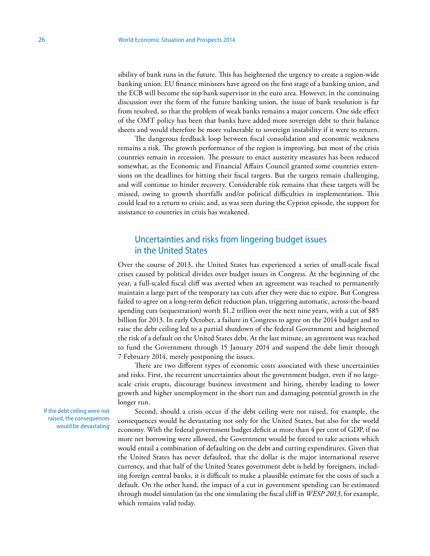sibility of bank runs in the future. This has heightened the urgency to create a region-wide banking union. EU finance ministers have agreed on the first stage of a banking union, and the ECB will become the top bank supervisor in the euro area. However, in the continuing discussion over the form of the future banking union, the issue of bank resolution is far from resolved, so that the problem of weak banks remains a major concern. One side effect of the OMT policy has been that banks have added more sovereign debt to their balance sheets and would therefore be more vulnerable to sovereign instability if it were to return.

The dangerous feedback loop between fiscal consolidation and economic weakness remains a risk. The growth performance of the region is improving, but most of the crisis countries remain in recession. The pressure to enact austerity measures has been reduced somewhat, as the Economic and Financial Affairs Council granted some countries extensions on the deadlines for hitting their fiscal targets. But the targets remain challenging, and will continue to hinder recovery. Considerable risk remains that these targets will be missed, owing to growth shortfalls and/or political difficulties in implementation. This could lead to a return to crisis; and, as was seen during the Cypriot episode, the support for assistance to countries in crisis has weakened.

# Uncertainties and risks from lingering budget issues in the United States

Over the course of 2013, the United States has experienced a series of small-scale fiscal crises caused by political divides over budget issues in Congress. At the beginning of the year, a full-scaled fiscal cliff was averted when an agreement was reached to permanently maintain a large part of the temporary tax cuts after they were due to expire. But Congress failed to agree on a long-term deficit reduction plan, triggering automatic, across-the-board spending cuts (sequestration) worth \$1.2 trillion over the next nine years, with a cut of \$85 billion for 2013. In early October, a failure in Congress to agree on the 2014 budget and to raise the debt ceiling led to a partial shutdown of the federal Government and heightened the risk of a default on the United States debt. At the last minute, an agreement was reached to fund the Government through 15 January 2014 and suspend the debt limit through 7 February 2014, merely postponing the issues.

There are two different types of economic costs associated with these uncertainties and risks. First, the recurrent uncertainties about the government budget, even if no largescale crisis erupts, discourage business investment and hiring, thereby leading to lower growth and higher unemployment in the short run and damaging potential growth in the longer run.

Second, should a crisis occur if the debt ceiling were not raised, for example, the consequences would be devastating not only for the United States, but also for the world economy. With the federal government budget deficit at more than 4 per cent of GDP, if no more net borrowing were allowed, the Government would be forced to take actions which would entail a combination of defaulting on the debt and cutting expenditures. Given that the United States has never defaulted, that the dollar is the major international reserve currency, and that half of the United States government debt is held by foreigners, including foreign central banks, it is difficult to make a plausible estimate for the costs of such a default. On the other hand, the impact of a cut in government spending can be estimated through model simulation (as the one simulating the fiscal cliff in *WESP 2013*, for example, which remains valid today.

If the debt ceiling were not raised, the consequences would be devastating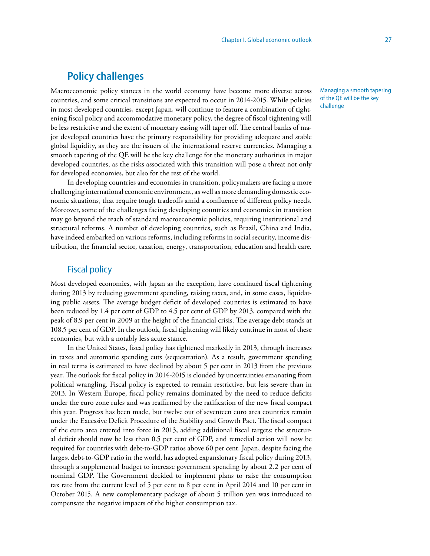# **Policy challenges**

Macroeconomic policy stances in the world economy have become more diverse across countries, and some critical transitions are expected to occur in 2014-2015. While policies in most developed countries, except Japan, will continue to feature a combination of tightening fiscal policy and accommodative monetary policy, the degree of fiscal tightening will be less restrictive and the extent of monetary easing will taper off. The central banks of major developed countries have the primary responsibility for providing adequate and stable global liquidity, as they are the issuers of the international reserve currencies. Managing a smooth tapering of the QE will be the key challenge for the monetary authorities in major developed countries, as the risks associated with this transition will pose a threat not only for developed economies, but also for the rest of the world.

In developing countries and economies in transition, policymakers are facing a more challenging international economic environment, as well as more demanding domestic economic situations, that require tough tradeoffs amid a confluence of different policy needs. Moreover, some of the challenges facing developing countries and economies in transition may go beyond the reach of standard macroeconomic policies, requiring institutional and structural reforms. A number of developing countries, such as Brazil, China and India, have indeed embarked on various reforms, including reforms in social security, income distribution, the financial sector, taxation, energy, transportation, education and health care.

# Fiscal policy

Most developed economies, with Japan as the exception, have continued fiscal tightening during 2013 by reducing government spending, raising taxes, and, in some cases, liquidating public assets. The average budget deficit of developed countries is estimated to have been reduced by 1.4 per cent of GDP to 4.5 per cent of GDP by 2013, compared with the peak of 8.9 per cent in 2009 at the height of the financial crisis. The average debt stands at 108.5 per cent of GDP. In the outlook, fiscal tightening will likely continue in most of these economies, but with a notably less acute stance.

In the United States, fiscal policy has tightened markedly in 2013, through increases in taxes and automatic spending cuts (sequestration). As a result, government spending in real terms is estimated to have declined by about 5 per cent in 2013 from the previous year. The outlook for fiscal policy in 2014-2015 is clouded by uncertainties emanating from political wrangling. Fiscal policy is expected to remain restrictive, but less severe than in 2013. In Western Europe, fiscal policy remains dominated by the need to reduce deficits under the euro zone rules and was reaffirmed by the ratification of the new fiscal compact this year. Progress has been made, but twelve out of seventeen euro area countries remain under the Excessive Deficit Procedure of the Stability and Growth Pact. The fiscal compact of the euro area entered into force in 2013, adding additional fiscal targets: the structural deficit should now be less than 0.5 per cent of GDP, and remedial action will now be required for countries with debt-to-GDP ratios above 60 per cent. Japan, despite facing the largest debt-to-GDP ratio in the world, has adopted expansionary fiscal policy during 2013, through a supplemental budget to increase government spending by about 2.2 per cent of nominal GDP. The Government decided to implement plans to raise the consumption tax rate from the current level of 5 per cent to 8 per cent in April 2014 and 10 per cent in October 2015. A new complementary package of about 5 trillion yen was introduced to compensate the negative impacts of the higher consumption tax.

Managing a smooth tapering of the QE will be the key challenge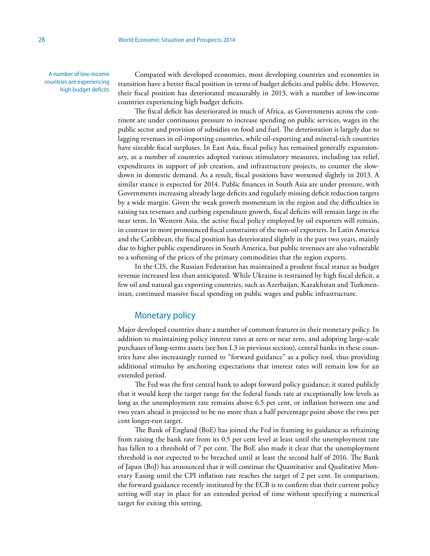A number of low-income countries are experiencing high budget deficits

Compared with developed economies, most developing countries and economies in transition have a better fiscal position in terms of budget deficits and public debt. However, their fiscal position has deteriorated measurably in 2013, with a number of low-income countries experiencing high budget deficits.

The fiscal deficit has deteriorated in much of Africa, as Governments across the continent are under continuous pressure to increase spending on public services, wages in the public sector and provision of subsidies on food and fuel. The deterioration is largely due to lagging revenues in oil-importing countries, while oil-exporting and mineral-rich countries have sizeable fiscal surpluses. In East Asia, fiscal policy has remained generally expansionary, as a number of countries adopted various stimulatory measures, including tax relief, expenditures in support of job creation, and infrastructure projects, to counter the slowdown in domestic demand. As a result, fiscal positions have worsened slightly in 2013. A similar stance is expected for 2014. Public finances in South Asia are under pressure, with Governments increasing already large deficits and regularly missing deficit reduction targets by a wide margin. Given the weak growth momentum in the region and the difficulties in raising tax revenues and curbing expenditure growth, fiscal deficits will remain large in the near term. In Western Asia, the active fiscal policy employed by oil exporters will remain, in contrast to more pronounced fiscal constraints of the non-oil exporters. In Latin America and the Caribbean, the fiscal position has deteriorated slightly in the past two years, mainly due to higher public expenditures in South America, but public revenues are also vulnerable to a softening of the prices of the primary commodities that the region exports.

In the CIS, the Russian Federation has maintained a prudent fiscal stance as budget revenue increased less than anticipated. While Ukraine is restrained by high fiscal deficit, a few oil and natural gas exporting countries, such as Azerbaijan, Kazakhstan and Turkmenistan, continued massive fiscal spending on public wages and public infrastructure.

## Monetary policy

Major developed countries share a number of common features in their monetary policy. In addition to maintaining policy interest rates at zero or near zero, and adopting large-scale purchases of long-terms assets (see box I.3 in previous section), central banks in these countries have also increasingly turned to "forward guidance" as a policy tool, thus providing additional stimulus by anchoring expectations that interest rates will remain low for an extended period.

The Fed was the first central bank to adopt forward policy guidance; it stated publicly that it would keep the target range for the federal funds rate at exceptionally low levels as long as the unemployment rate remains above 6.5 per cent, or inflation between one and two years ahead is projected to be no more than a half percentage point above the two per cent longer-run target.

The Bank of England (BoE) has joined the Fed in framing its guidance as refraining from raising the bank rate from its 0.5 per cent level at least until the unemployment rate has fallen to a threshold of 7 per cent. The BoE also made it clear that the unemployment threshold is not expected to be breached until at least the second half of 2016. The Bank of Japan (BoJ) has announced that it will continue the Quantitative and Qualitative Monetary Easing until the CPI inflation rate reaches the target of 2 per cent. In comparison, the forward guidance recently instituted by the ECB is to confirm that their current policy setting will stay in place for an extended period of time without specifying a numerical target for exiting this setting.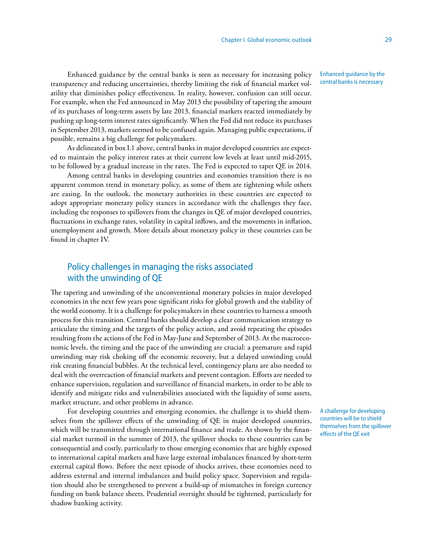Enhanced guidance by the central banks is seen as necessary for increasing policy transparency and reducing uncertainties, thereby limiting the risk of financial market volatility that diminishes policy effectiveness. In reality, however, confusion can still occur. For example, when the Fed announced in May 2013 the possibility of tapering the amount of its purchases of long-term assets by late 2013, financial markets reacted immediately by pushing up long-term interest rates significantly. When the Fed did not reduce its purchases in September 2013, markets seemed to be confused again. Managing public expectations, if

As delineated in box I.1 above, central banks in major developed countries are expected to maintain the policy interest rates at their current low levels at least until mid-2015, to be followed by a gradual increase in the rates. The Fed is expected to taper QE in 2014.

possible, remains a big challenge for policymakers.

Among central banks in developing countries and economies transition there is no apparent common trend in monetary policy, as some of them are tightening while others are easing. In the outlook, the monetary authorities in these countries are expected to adopt appropriate monetary policy stances in accordance with the challenges they face, including the responses to spillovers from the changes in QE of major developed countries, fluctuations in exchange rates, volatility in capital inflows, and the movements in inflation, unemployment and growth. More details about monetary policy in these countries can be found in chapter IV.

# Policy challenges in managing the risks associated with the unwinding of QE

The tapering and unwinding of the unconventional monetary policies in major developed economies in the next few years pose significant risks for global growth and the stability of the world economy. It is a challenge for policymakers in these countries to harness a smooth process for this transition. Central banks should develop a clear communication strategy to articulate the timing and the targets of the policy action, and avoid repeating the episodes resulting from the actions of the Fed in May-June and September of 2013. At the macroeconomic levels, the timing and the pace of the unwinding are crucial: a premature and rapid unwinding may risk choking off the economic recovery, but a delayed unwinding could risk creating financial bubbles. At the technical level, contingency plans are also needed to deal with the overreaction of financial markets and prevent contagion. Efforts are needed to enhance supervision, regulation and surveillance of financial markets, in order to be able to identify and mitigate risks and vulnerabilities associated with the liquidity of some assets, market structure, and other problems in advance.

For developing countries and emerging economies, the challenge is to shield themselves from the spillover effects of the unwinding of QE in major developed countries, which will be transmitted through international finance and trade. As shown by the financial market turmoil in the summer of 2013, the spillover shocks to these countries can be consequential and costly, particularly to those emerging economies that are highly exposed to international capital markets and have large external imbalances financed by short-term external capital flows. Before the next episode of shocks arrives, these economies need to address external and internal imbalances and build policy space. Supervision and regulation should also be strengthened to prevent a build-up of mismatches in foreign currency funding on bank balance sheets. Prudential oversight should be tightened, particularly for shadow banking activity.

A challenge for developing countries will be to shield themselves from the spillover effects of the QE exit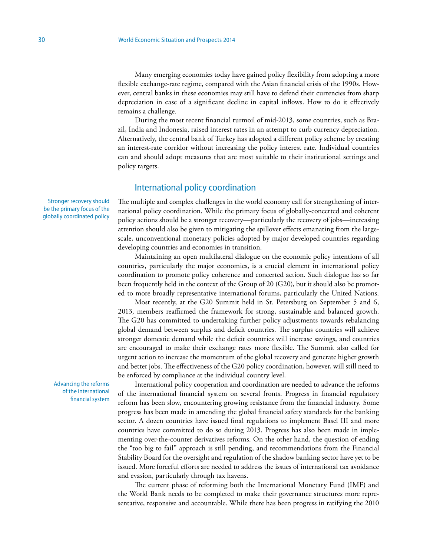Many emerging economies today have gained policy flexibility from adopting a more flexible exchange-rate regime, compared with the Asian financial crisis of the 1990s. However, central banks in these economies may still have to defend their currencies from sharp depreciation in case of a significant decline in capital inflows. How to do it effectively remains a challenge.

During the most recent financial turmoil of mid-2013, some countries, such as Brazil, India and Indonesia, raised interest rates in an attempt to curb currency depreciation. Alternatively, the central bank of Turkey has adopted a different policy scheme by creating an interest-rate corridor without increasing the policy interest rate. Individual countries can and should adopt measures that are most suitable to their institutional settings and policy targets.

# International policy coordination

The multiple and complex challenges in the world economy call for strengthening of international policy coordination. While the primary focus of globally-concerted and coherent policy actions should be a stronger recovery—particularly the recovery of jobs—increasing attention should also be given to mitigating the spillover effects emanating from the largescale, unconventional monetary policies adopted by major developed countries regarding developing countries and economies in transition.

Maintaining an open multilateral dialogue on the economic policy intentions of all countries, particularly the major economies, is a crucial element in international policy coordination to promote policy coherence and concerted action. Such dialogue has so far been frequently held in the context of the Group of 20 (G20), but it should also be promoted to more broadly representative international forums, particularly the United Nations.

Most recently, at the G20 Summit held in St. Petersburg on September 5 and 6, 2013, members reaffirmed the framework for strong, sustainable and balanced growth. The G20 has committed to undertaking further policy adjustments towards rebalancing global demand between surplus and deficit countries. The surplus countries will achieve stronger domestic demand while the deficit countries will increase savings, and countries are encouraged to make their exchange rates more flexible. The Summit also called for urgent action to increase the momentum of the global recovery and generate higher growth and better jobs. The effectiveness of the G20 policy coordination, however, will still need to be enforced by compliance at the individual country level.

International policy cooperation and coordination are needed to advance the reforms of the international financial system on several fronts. Progress in financial regulatory reform has been slow, encountering growing resistance from the financial industry. Some progress has been made in amending the global financial safety standards for the banking sector. A dozen countries have issued final regulations to implement Basel III and more countries have committed to do so during 2013. Progress has also been made in implementing over-the-counter derivatives reforms. On the other hand, the question of ending the "too big to fail" approach is still pending, and recommendations from the Financial Stability Board for the oversight and regulation of the shadow banking sector have yet to be issued. More forceful efforts are needed to address the issues of international tax avoidance and evasion, particularly through tax havens.

The current phase of reforming both the International Monetary Fund (IMF) and the World Bank needs to be completed to make their governance structures more representative, responsive and accountable. While there has been progress in ratifying the 2010

Stronger recovery should be the primary focus of the globally coordinated policy

> Advancing the reforms of the international financial system